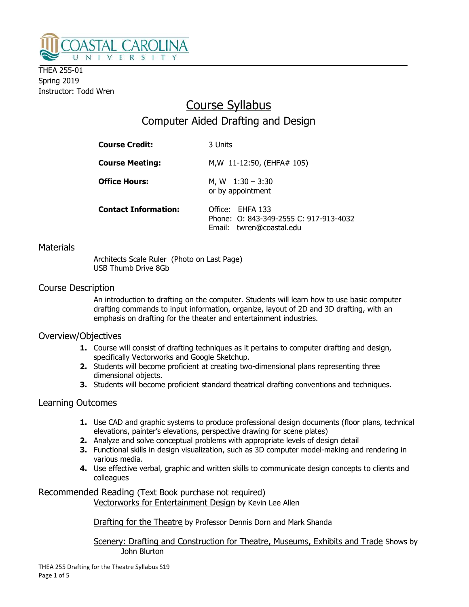

THEA 255-01 Spring 2019 Instructor: Todd Wren

# Course Syllabus Computer Aided Drafting and Design

| <b>Course Credit:</b>       | 3 Units                                                                                |
|-----------------------------|----------------------------------------------------------------------------------------|
| <b>Course Meeting:</b>      | M, W 11-12:50, (EHFA# 105)                                                             |
| <b>Office Hours:</b>        | M, W $1:30 - 3:30$<br>or by appointment                                                |
| <b>Contact Information:</b> | Office: EHFA 133<br>Phone: 0: 843-349-2555 C: 917-913-4032<br>Email: twren@coastal.edu |

## **Materials**

Architects Scale Ruler (Photo on Last Page) USB Thumb Drive 8Gb

## Course Description

An introduction to drafting on the computer. Students will learn how to use basic computer drafting commands to input information, organize, layout of 2D and 3D drafting, with an emphasis on drafting for the theater and entertainment industries.

## Overview/Objectives

- **1.** Course will consist of drafting techniques as it pertains to computer drafting and design, specifically Vectorworks and Google Sketchup.
- 2. Students will become proficient at creating two-dimensional plans representing three dimensional objects.
- 3. Students will become proficient standard theatrical drafting conventions and techniques.

## Learning Outcomes

- **1.** Use CAD and graphic systems to produce professional design documents (floor plans, technical elevations, painter's elevations, perspective drawing for scene plates)
- 2. Analyze and solve conceptual problems with appropriate levels of design detail
- **3.** Functional skills in design visualization, such as 3D computer model-making and rendering in various media.
- 4. Use effective verbal, graphic and written skills to communicate design concepts to clients and colleagues

Recommended Reading (Text Book purchase not required)

Vectorworks for Entertainment Design by Kevin Lee Allen

Drafting for the Theatre by Professor Dennis Dorn and Mark Shanda

 Scenery: Drafting and Construction for Theatre, Museums, Exhibits and Trade Shows by John Blurton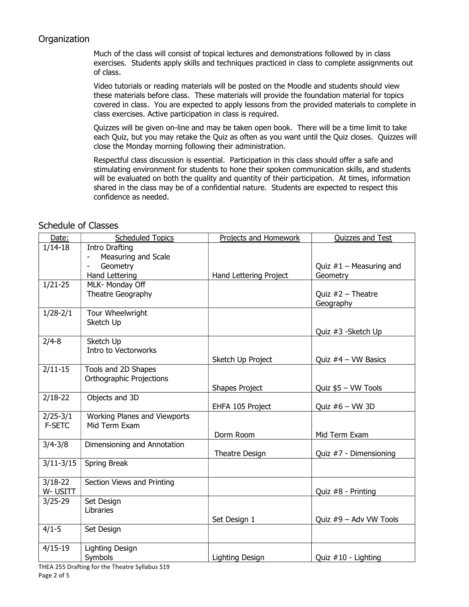## **Organization**

Much of the class will consist of topical lectures and demonstrations followed by in class exercises. Students apply skills and techniques practiced in class to complete assignments out of class.

Video tutorials or reading materials will be posted on the Moodle and students should view these materials before class. These materials will provide the foundation material for topics covered in class. You are expected to apply lessons from the provided materials to complete in class exercises. Active participation in class is required.

Quizzes will be given on-line and may be taken open book. There will be a time limit to take each Quiz, but you may retake the Quiz as often as you want until the Quiz closes. Quizzes will close the Monday morning following their administration.

Respectful class discussion is essential. Participation in this class should offer a safe and stimulating environment for students to hone their spoken communication skills, and students will be evaluated on both the quality and quantity of their participation. At times, information shared in the class may be of a confidential nature. Students are expected to respect this confidence as needed.

#### Date: Scheduled Topics Represent and Homework Cuizzes and Test 1/14-18 | Intro Drafting Measuring and Scale **Geometry** Hand Lettering Hand Lettering Project Quiz  $#1 -$  Measuring and **Geometry** 1/21-25 MLK- Monday Off Theatre Geography Quiz  $#2$  – Theatre **Geography** 1/28-2/1 | Tour Wheelwright Sketch Up Quiz #3 -Sketch Up 2/4-8 Sketch Up Intro to Vectorworks Sketch Up Project  $\qquad$  | Quiz  $#4$  – VW Basics  $2/11-15$  Tools and 2D Shapes Orthographic Projections Shapes Project  $\vert$  Quiz \$5 – VW Tools 2/18-22 **Objects and 3D** EHFA 105 Project  $\vert$  Ouiz #6 – VW 3D 2/25-3/1 F-SETC Working Planes and Viewports Mid Term Exam Dorm Room | Mid Term Exam 3/4-3/8 Dimensioning and Annotation Theatre Design Quiz #7 - Dimensioning  $3/11-3/15$  Spring Break 3/18-22 W- USITT Section Views and Printing Quiz #8 - Printing  $3/25-29$  | Set Design Libraries Set Design 1 and  $\vert$  Ouiz #9 – Adv VW Tools  $4/1-5$  | Set Design 4/15-19 Lighting Design Symbols **Lighting Design Community** Quiz #10 - Lighting Lighting Design

## Schedule of Classes

THEA 255 Drafting for the Theatre Syllabus S19 Page 2 of 5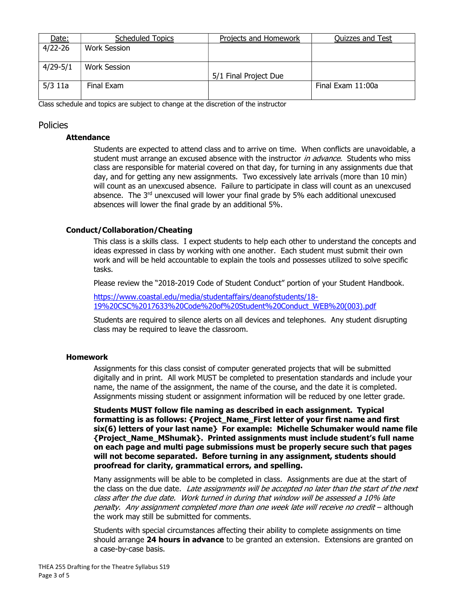| Date:        | <b>Scheduled Topics</b> | <b>Projects and Homework</b> | <b>Quizzes and Test</b> |
|--------------|-------------------------|------------------------------|-------------------------|
| $4/22 - 26$  | Work Session            |                              |                         |
| $4/29 - 5/1$ | Work Session            |                              |                         |
|              |                         | 5/1 Final Project Due        |                         |
| $5/3$ 11a    | Final Exam              |                              | Final Exam 11:00a       |
|              |                         |                              |                         |

Class schedule and topics are subject to change at the discretion of the instructor

### Policies

#### Attendance

Students are expected to attend class and to arrive on time. When conflicts are unavoidable, a student must arrange an excused absence with the instructor *in advance*. Students who miss class are responsible for material covered on that day, for turning in any assignments due that day, and for getting any new assignments. Two excessively late arrivals (more than 10 min) will count as an unexcused absence. Failure to participate in class will count as an unexcused absence. The  $3<sup>rd</sup>$  unexcused will lower your final grade by  $5%$  each additional unexcused absences will lower the final grade by an additional 5%.

#### Conduct/Collaboration/Cheating

This class is a skills class. I expect students to help each other to understand the concepts and ideas expressed in class by working with one another. Each student must submit their own work and will be held accountable to explain the tools and possesses utilized to solve specific tasks.

Please review the "2018-2019 Code of Student Conduct" portion of your Student Handbook.

https://www.coastal.edu/media/studentaffairs/deanofstudents/18- 19%20CSC%2017633%20Code%20of%20Student%20Conduct\_WEB%20(003).pdf

Students are required to silence alerts on all devices and telephones. Any student disrupting class may be required to leave the classroom.

#### Homework

Assignments for this class consist of computer generated projects that will be submitted digitally and in print. All work MUST be completed to presentation standards and include your name, the name of the assignment, the name of the course, and the date it is completed. Assignments missing student or assignment information will be reduced by one letter grade.

Students MUST follow file naming as described in each assignment. Typical formatting is as follows: {Project\_Name\_First letter of your first name and first six(6) letters of your last name} For example: Michelle Schumaker would name file {Project\_Name\_MShumak}. Printed assignments must include student's full name on each page and multi page submissions must be properly secure such that pages will not become separated. Before turning in any assignment, students should proofread for clarity, grammatical errors, and spelling.

Many assignments will be able to be completed in class. Assignments are due at the start of the class on the due date. Late assignments will be accepted no later than the start of the next class after the due date. Work turned in during that window will be assessed a 10% late penalty. Any assignment completed more than one week late will receive no credit - although the work may still be submitted for comments.

Students with special circumstances affecting their ability to complete assignments on time should arrange 24 hours in advance to be granted an extension. Extensions are granted on a case-by-case basis.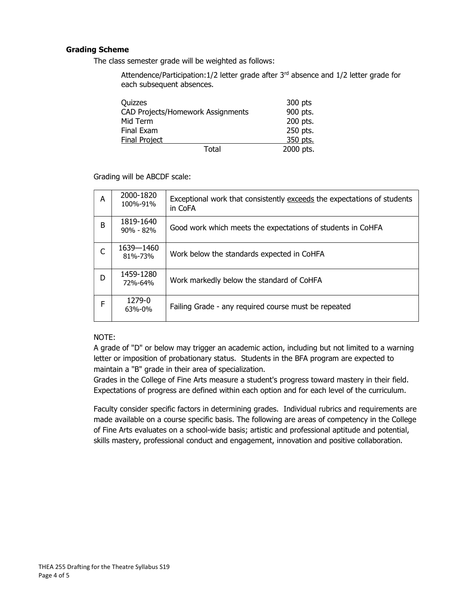#### Grading Scheme

The class semester grade will be weighted as follows:

Attendence/Participation:1/2 letter grade after 3<sup>rd</sup> absence and 1/2 letter grade for each subsequent absences.

| Ouizzes                           | 300 pts   |
|-----------------------------------|-----------|
| CAD Projects/Homework Assignments | 900 pts.  |
| Mid Term                          | 200 pts.  |
| Final Exam                        | 250 pts.  |
| <b>Final Project</b>              | 350 pts.  |
| Total                             | 2000 pts. |

Grading will be ABCDF scale:

| A            | 2000-1820<br>100%-91%      | Exceptional work that consistently exceeds the expectations of students<br>in CoFA |
|--------------|----------------------------|------------------------------------------------------------------------------------|
| B            | 1819-1640<br>$90\% - 82\%$ | Good work which meets the expectations of students in CoHFA                        |
| $\mathsf{C}$ | 1639-1460<br>81%-73%       | Work below the standards expected in CoHFA                                         |
| D            | 1459-1280<br>72%-64%       | Work markedly below the standard of CoHFA                                          |
| F            | 1279-0<br>63%-0%           | Failing Grade - any required course must be repeated                               |

#### NOTE:

A grade of "D" or below may trigger an academic action, including but not limited to a warning letter or imposition of probationary status. Students in the BFA program are expected to maintain a "B" grade in their area of specialization.

Grades in the College of Fine Arts measure a student's progress toward mastery in their field. Expectations of progress are defined within each option and for each level of the curriculum.

Faculty consider specific factors in determining grades. Individual rubrics and requirements are made available on a course specific basis. The following are areas of competency in the College of Fine Arts evaluates on a school-wide basis; artistic and professional aptitude and potential, skills mastery, professional conduct and engagement, innovation and positive collaboration.